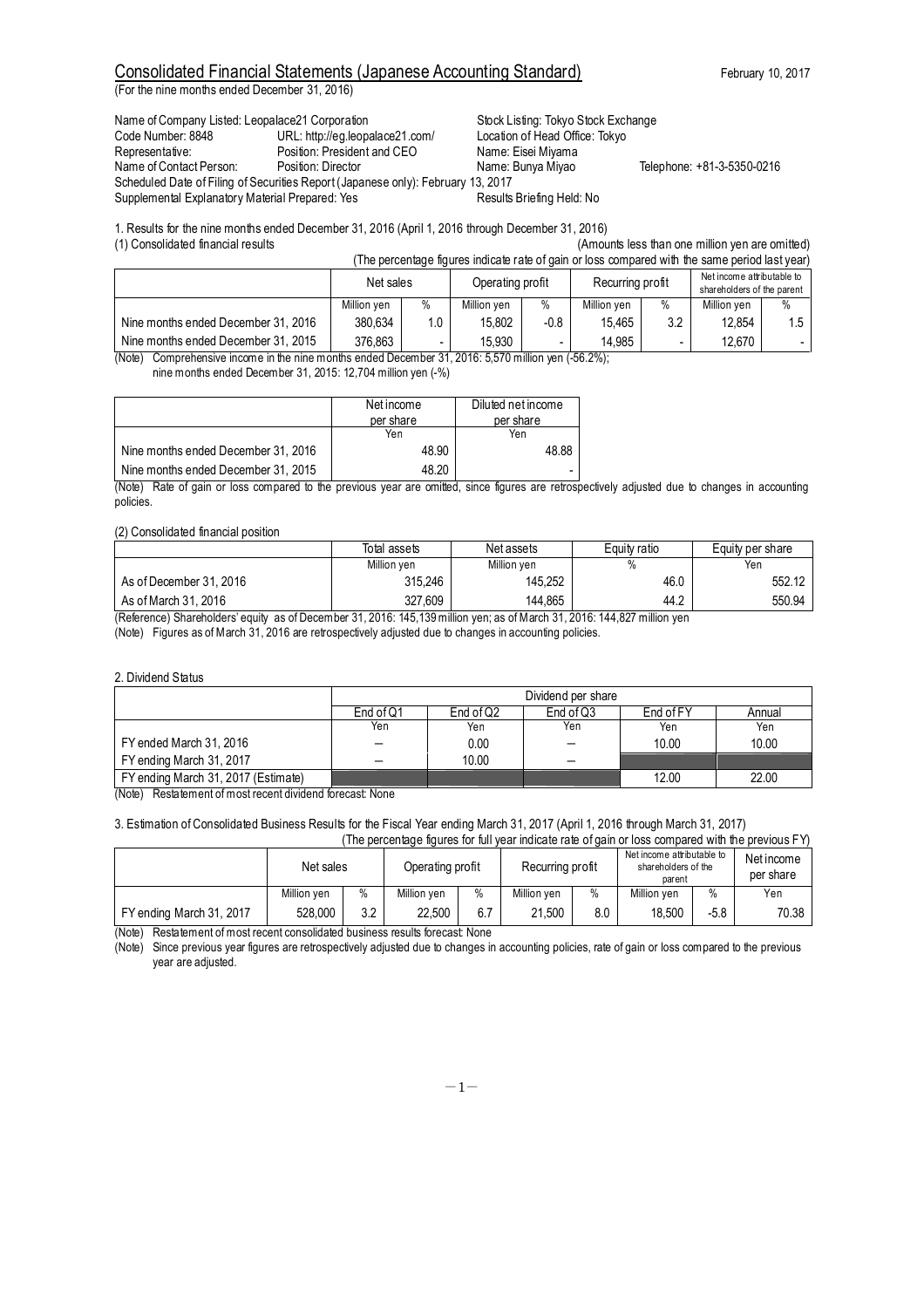(For the nine months ended December 31, 2016)

Name of Company Listed: Leopalace21 Corporation Stock Listing: Tokyo Stock Exchange<br>Code Number: 8848 Code Nuncher: URL: http://eg.leopalace21.com/ Location of Head Office: Tokyo Code Number: 8848 URL: http://eg.leopalace21.com/ Representative: Position: President and CEO Name: Eisei Miyama<br>
Name of Contact Person: Position: Director Name: Bunya Miyao Scheduled Date of Filing of Securities Report (Japanese only): February 13, 2017 Supplemental Explanatory Material Prepared: Yes Results Briefing Held: No

Telephone: +81-3-5350-0216

1. Results for the nine months ended December 31, 2016 (April 1, 2016 through December 31, 2016)

(1) Consolidated financial results (Amounts less than one million yen are omitted)

| (The percentage figures indicate rate of gain or loss compared with the same period last year) |                                     |     |                                                                   |      |                                                          |     |             |      |
|------------------------------------------------------------------------------------------------|-------------------------------------|-----|-------------------------------------------------------------------|------|----------------------------------------------------------|-----|-------------|------|
|                                                                                                | Operating profit<br>Net sales       |     | Recurring profit                                                  |      | Net income attributable to<br>shareholders of the parent |     |             |      |
|                                                                                                | Million yen                         | %   | Million yen                                                       | %    | Million yen                                              | %   | Million ven | $\%$ |
| Nine months ended December 31, 2016                                                            | 380.634                             | 1.0 | 15.802                                                            | -0.8 | 15.465                                                   | 3.2 | 12.854      | 1.5  |
| Nine months ended December 31, 2015<br>$\mathbf{u}$                                            | 376.863<br>$\overline{\phantom{a}}$ | -   | 15.930<br>$\sim$ $\sim$ $\sim$ $\sim$ $\sim$ $\sim$ $\sim$ $\sim$ |      | 14.985<br>$\overline{z}$ $\overline{z}$                  |     | 12.670      | ۰.   |

(Note) Comprehensive income in the nine months ended December 31, 2016: 5,570 million yen (-56.2%);

nine months ended December 31, 2015: 12,704 million yen (-%)

|                                     | Net income | Diluted net income |
|-------------------------------------|------------|--------------------|
|                                     | per share  | per share          |
|                                     | Yen        | Yen                |
| Nine months ended December 31, 2016 | 48.90      | 48.88              |
| Nine months ended December 31, 2015 | 48.20      |                    |

(Note) Rate of gain or loss compared to the previous year are omitted, since figures are retrospectively adjusted due to changes in accounting policies.

#### (2) Consolidated financial position

|                         | Total assets | Net assets  | Equity ratio | Equity per share |
|-------------------------|--------------|-------------|--------------|------------------|
|                         | Million yen  | Million yen | %            | Yen              |
| As of December 31, 2016 | 315.246      | 145.252     | 46.0         | 552.12           |
| As of March 31, 2016    | 327.609      | 144.865     | 44.2         | 550.94           |

(Reference) Shareholders' equity as of December 31, 2016: 145,139 million yen; as of March 31, 2016: 144,827 million yen

(Note) Figures as of March 31, 2016 are retrospectively adjusted due to changes in accounting policies.

#### 2. Dividend Status

|                                                        | Dividend per share |             |             |           |        |  |
|--------------------------------------------------------|--------------------|-------------|-------------|-----------|--------|--|
|                                                        | End of Q1          | End of $Q2$ | End of $Q3$ | End of FY | Annual |  |
|                                                        | Yen                | Yen         | Yen         | Yen       | Yen    |  |
| FY ended March 31, 2016                                | $\qquad \qquad -$  | 0.00        |             | 10.00     | 10.00  |  |
| FY ending March 31, 2017                               | -                  | 10.00       |             |           |        |  |
| FY ending March 31, 2017 (Estimate)<br>$\cdot$ $\cdot$ | .                  |             |             | 12.00     | 22.00  |  |

(Note) Restatement of most recent dividend forecast: None

#### 3. Estimation of Consolidated Business Results for the Fiscal Year ending March 31, 2017 (April 1, 2016 through March 31, 2017) (The percentage figures for full year indicate rate of gain or loss compared with the previous FY)

|                          | Net sales   |     | THE DEI CEITIQUE IN DITION TOIL IUIT VEGITIITUICATE TAIE UT QUITTUI TUJS CUITIDAIEU WITH THE DI EVIUUS F<br>Recurring profit<br>Operating profit |      |             | Net income attributable to<br>shareholders of the<br>parent | Net income<br>per share |        |       |
|--------------------------|-------------|-----|--------------------------------------------------------------------------------------------------------------------------------------------------|------|-------------|-------------------------------------------------------------|-------------------------|--------|-------|
|                          | Million ven | %   | Million ven                                                                                                                                      | $\%$ | Million yen | $\%$                                                        | Million ven             | $\%$   | Yen   |
| FY ending March 31, 2017 | 528.000     | 3.2 | 22.500                                                                                                                                           | 6.7  | 21.500      | 8.0                                                         | 18.500                  | $-5.8$ | 70.38 |

(Note) Restatement of most recent consolidated business results forecast: None

(Note) Since previous year figures are retrospectively adjusted due to changes in accounting policies, rate of gain or loss compared to the previous year are adjusted.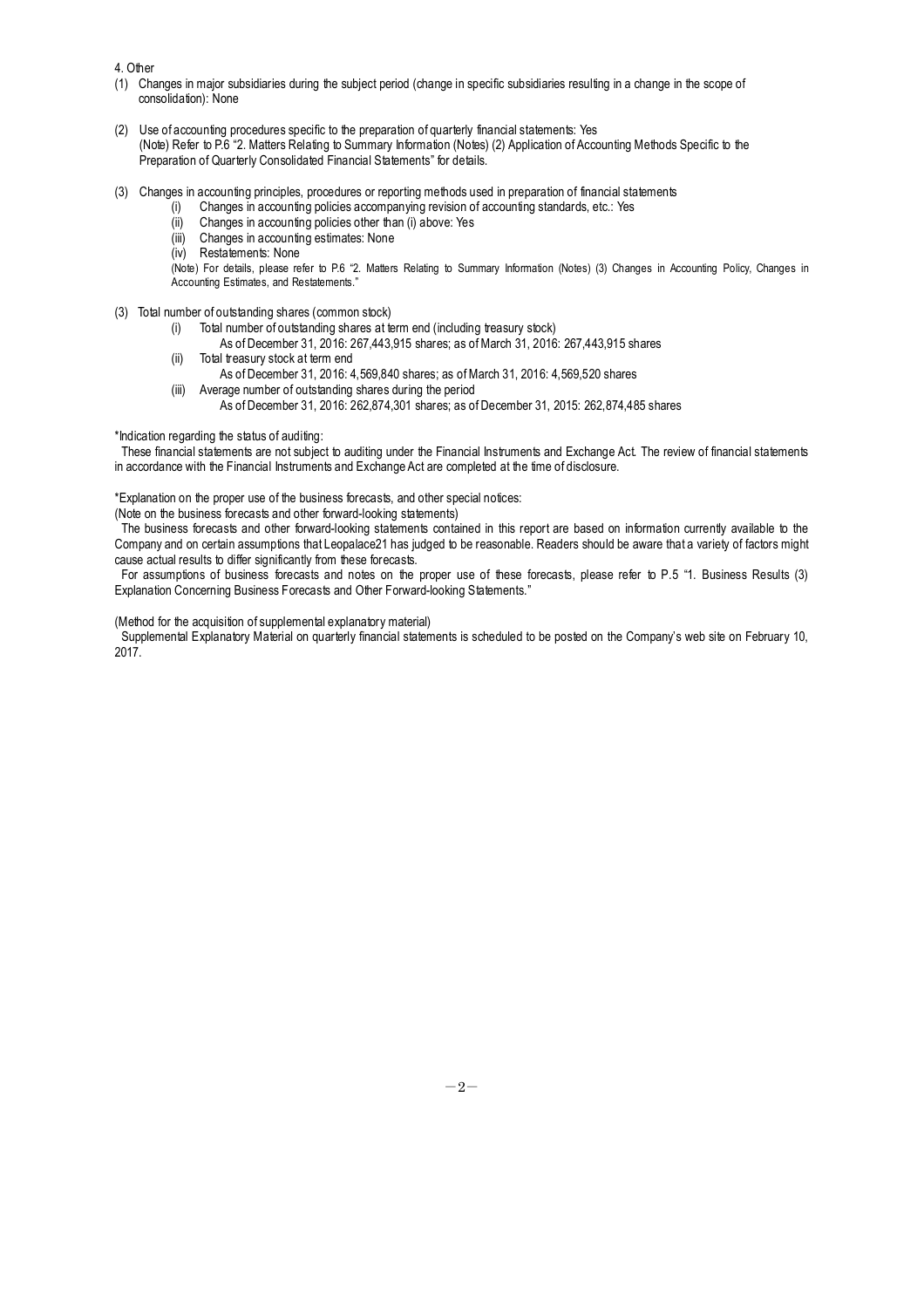4. Other

- (1) Changes in major subsidiaries during the subject period (change in specific subsidiaries resulting in a change in the scope of consolidation): None
- (2) Use of accounting procedures specific to the preparation of quarterly financial statements: Yes (Note) Refer to P.6 "2. Matters Relating to Summary Information (Notes) (2) Application of Accounting Methods Specific to the Preparation of Quarterly Consolidated Financial Statements" for details.
- (3) Changes in accounting principles, procedures or reporting methods used in preparation of financial statements
	- Changes in accounting policies accompanying revision of accounting standards, etc.: Yes
		- (ii) Changes in accounting policies other than (i) above: Yes
		- (iii) Changes in accounting estimates: None
		- (iv) Restatements: None

(Note) For details, please refer to P.6 "2. Matters Relating to Summary Information (Notes) (3) Changes in Accounting Policy, Changes in Accounting Estimates, and Restatements."

- (3) Total number of outstanding shares (common stock)
	- (i) Total number of outstanding shares at term end (including treasury stock)
		- As of December 31, 2016: 267,443,915 shares; as of March 31, 2016: 267,443,915 shares
	- (ii) Total treasury stock at term end
		- As of December 31, 2016: 4,569,840 shares; as of March 31, 2016: 4,569,520 shares
	- (iii) Average number of outstanding shares during the period
		- As of December 31, 2016: 262,874,301 shares; as of December 31, 2015: 262,874,485 shares

\*Indication regarding the status of auditing:

These financial statements are not subject to auditing under the Financial Instruments and Exchange Act. The review of financial statements in accordance with the Financial Instruments and Exchange Act are completed at the time of disclosure.

\*Explanation on the proper use of the business forecasts, and other special notices:

(Note on the business forecasts and other forward-looking statements)

The business forecasts and other forward-looking statements contained in this report are based on information currently available to the Company and on certain assumptions that Leopalace21 has judged to be reasonable. Readers should be aware that a variety of factors might cause actual results to differ significantly from these forecasts.

For assumptions of business forecasts and notes on the proper use of these forecasts, please refer to P.5 "1. Business Results (3) Explanation Concerning Business Forecasts and Other Forward-looking Statements."

(Method for the acquisition of supplemental explanatory material)

Supplemental Explanatory Material on quarterly financial statements is scheduled to be posted on the Company's web site on February 10, 2017.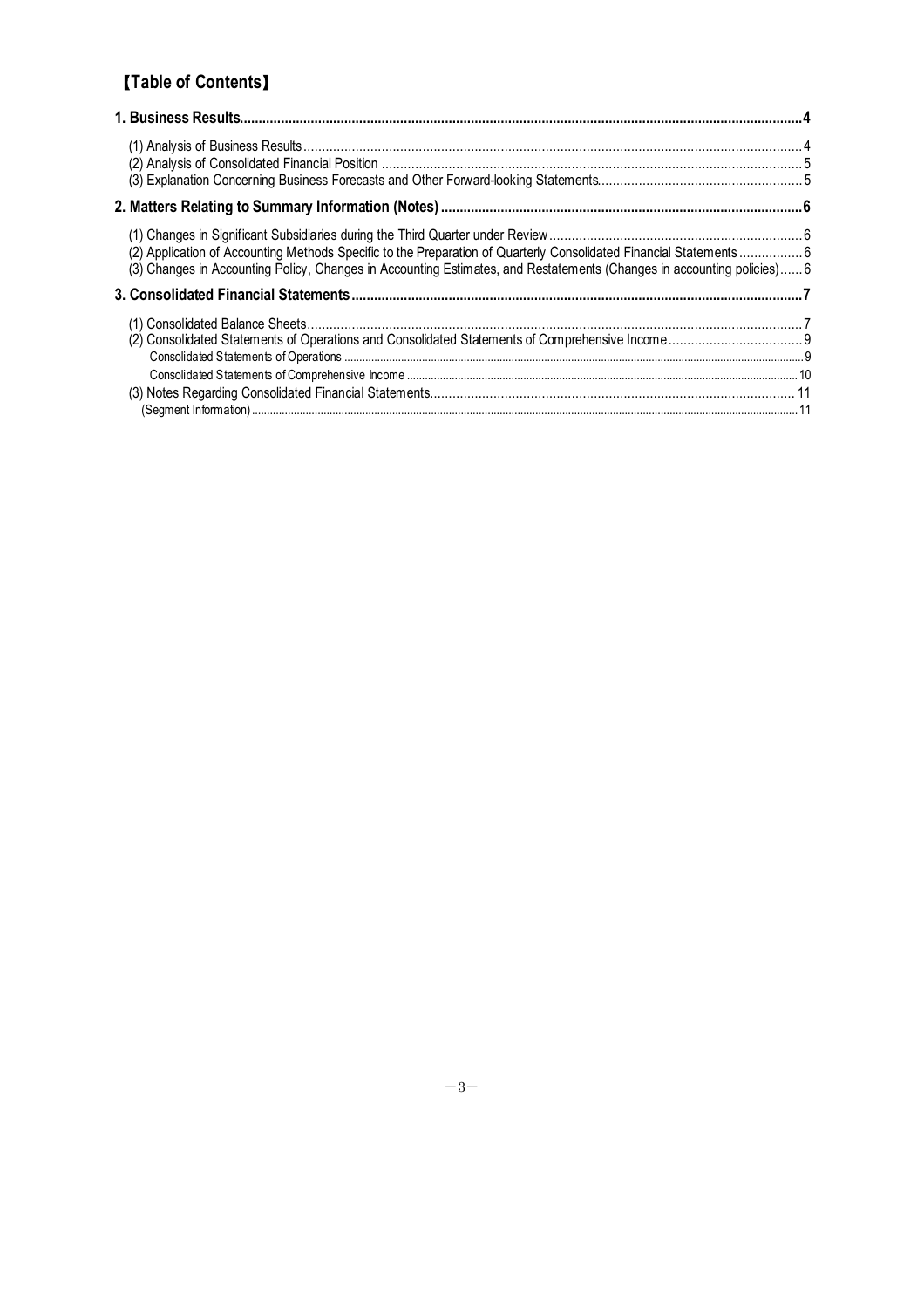# 【**Table of Contents**】

| (2) Application of Accounting Methods Specific to the Preparation of Quarterly Consolidated Financial Statements 6<br>(3) Changes in Accounting Policy, Changes in Accounting Estimates, and Restatements (Changes in accounting policies) 6 |  |
|----------------------------------------------------------------------------------------------------------------------------------------------------------------------------------------------------------------------------------------------|--|
|                                                                                                                                                                                                                                              |  |
|                                                                                                                                                                                                                                              |  |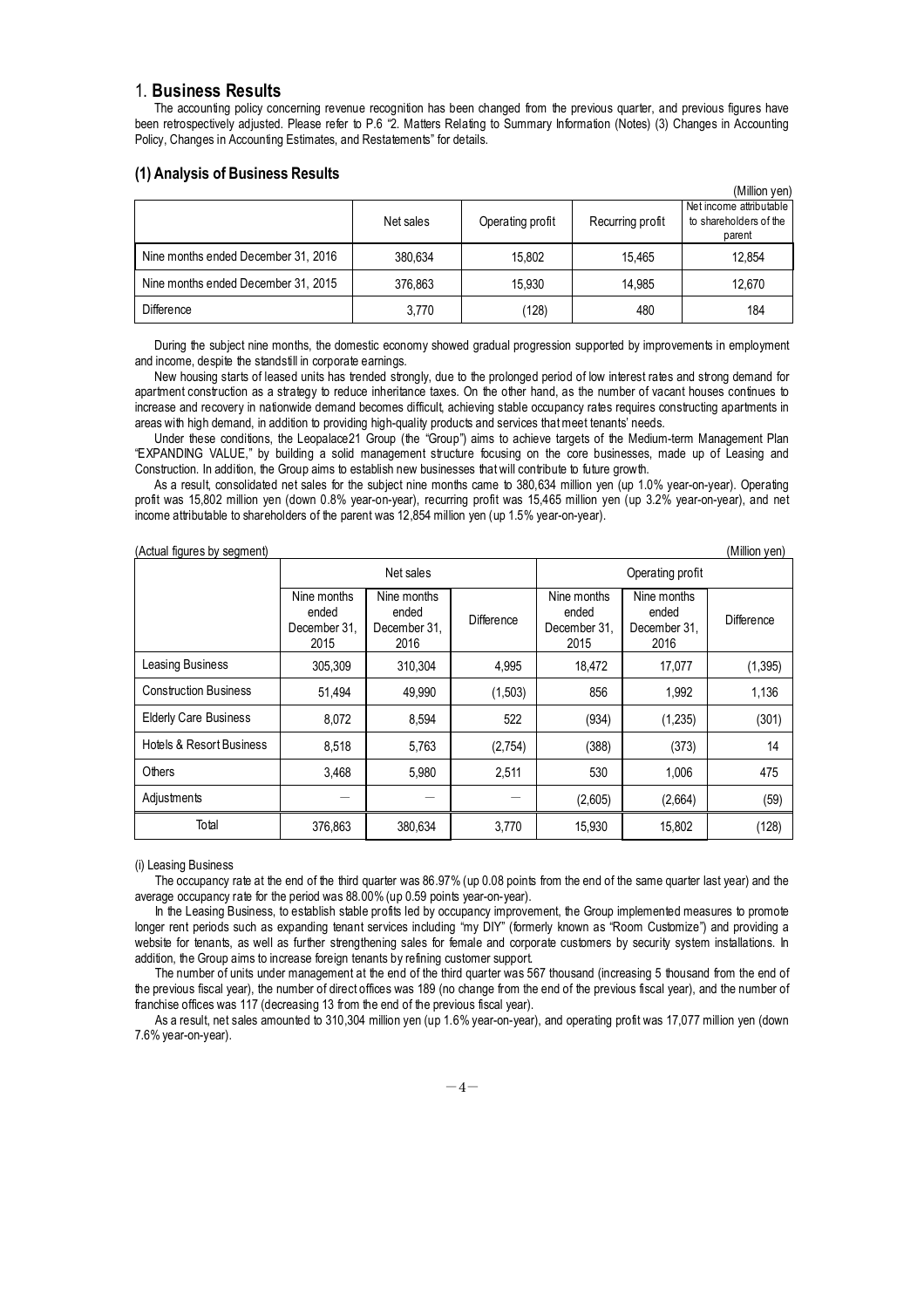### 1. **Business Results**

The accounting policy concerning revenue recognition has been changed from the previous quarter, and previous figures have been retrospectively adjusted. Please refer to P.6 "2. Matters Relating to Summary Information (Notes) (3) Changes in Accounting Policy, Changes in Accounting Estimates, and Restatements" for details.

### **(1) Analysis of Business Results**

|                                     |           |                  |                  | (Million yen)                                               |
|-------------------------------------|-----------|------------------|------------------|-------------------------------------------------------------|
|                                     | Net sales | Operating profit | Recurring profit | Net income attributable<br>to shareholders of the<br>parent |
| Nine months ended December 31, 2016 | 380,634   | 15.802           | 15.465           | 12,854                                                      |
| Nine months ended December 31, 2015 | 376,863   | 15.930           | 14.985           | 12,670                                                      |
| <b>Difference</b>                   | 3.770     | (128)            | 480              | 184                                                         |

During the subject nine months, the domestic economy showed gradual progression supported by improvements in employment and income, despite the standstill in corporate earnings.

New housing starts of leased units has trended strongly, due to the prolonged period of low interest rates and strong demand for apartment construction as a strategy to reduce inheritance taxes. On the other hand, as the number of vacant houses continues to increase and recovery in nationwide demand becomes difficult, achieving stable occupancy rates requires constructing apartments in areas with high demand, in addition to providing high-quality products and services that meet tenants' needs.

Under these conditions, the Leopalace21 Group (the "Group") aims to achieve targets of the Medium-term Management Plan "EXPANDING VALUE," by building a solid management structure focusing on the core businesses, made up of Leasing and Construction. In addition, the Group aims to establish new businesses that will contribute to future growth.

As a result, consolidated net sales for the subject nine months came to 380,634 million yen (up 1.0% year-on-year). Operating profit was 15,802 million yen (down 0.8% year-on-year), recurring profit was 15,465 million yen (up 3.2% year-on-year), and net income attributable to shareholders of the parent was 12,854 million yen (up 1.5% year-on-year).

| (Million yen)<br>(Actual figures by segment) |                                              |                                              |            |                                              |                                              |                   |
|----------------------------------------------|----------------------------------------------|----------------------------------------------|------------|----------------------------------------------|----------------------------------------------|-------------------|
|                                              |                                              | Net sales                                    |            | Operating profit                             |                                              |                   |
|                                              | Nine months<br>ended<br>December 31,<br>2015 | Nine months<br>ended<br>December 31.<br>2016 | Difference | Nine months<br>ended<br>December 31,<br>2015 | Nine months<br>ended<br>December 31,<br>2016 | <b>Difference</b> |
| Leasing Business                             | 305,309                                      | 310,304                                      | 4,995      | 18,472                                       | 17,077                                       | (1, 395)          |
| <b>Construction Business</b>                 | 51,494                                       | 49,990                                       | (1,503)    | 856                                          | 1,992                                        | 1,136             |
| <b>Elderly Care Business</b>                 | 8,072                                        | 8.594                                        | 522        | (934)                                        | (1,235)                                      | (301)             |
| <b>Hotels &amp; Resort Business</b>          | 8,518                                        | 5,763                                        | (2,754)    | (388)                                        | (373)                                        | 14                |
| Others                                       | 3,468                                        | 5,980                                        | 2,511      | 530                                          | 1,006                                        | 475               |
| Adjustments                                  |                                              |                                              |            | (2,605)                                      | (2,664)                                      | (59)              |
| Total                                        | 376,863                                      | 380,634                                      | 3,770      | 15,930                                       | 15,802                                       | (128)             |

(i) Leasing Business

The occupancy rate at the end of the third quarter was 86.97% (up 0.08 points from the end of the same quarter last year) and the average occupancy rate for the period was 88.00% (up 0.59 points year-on-year).

In the Leasing Business, to establish stable profits led by occupancy improvement, the Group implemented measures to promote longer rent periods such as expanding tenant services including "my DIY" (formerly known as "Room Customize") and providing a website for tenants, as well as further strengthening sales for female and corporate customers by security system installations. In addition, the Group aims to increase foreign tenants by refining customer support.

The number of units under management at the end of the third quarter was 567 thousand (increasing 5 thousand from the end of the previous fiscal year), the number of direct offices was 189 (no change from the end of the previous fiscal year), and the number of franchise offices was 117 (decreasing 13 from the end of the previous fiscal year).

As a result, net sales amounted to 310,304 million yen (up 1.6% year-on-year), and operating profit was 17,077 million yen (down 7.6% year-on-year).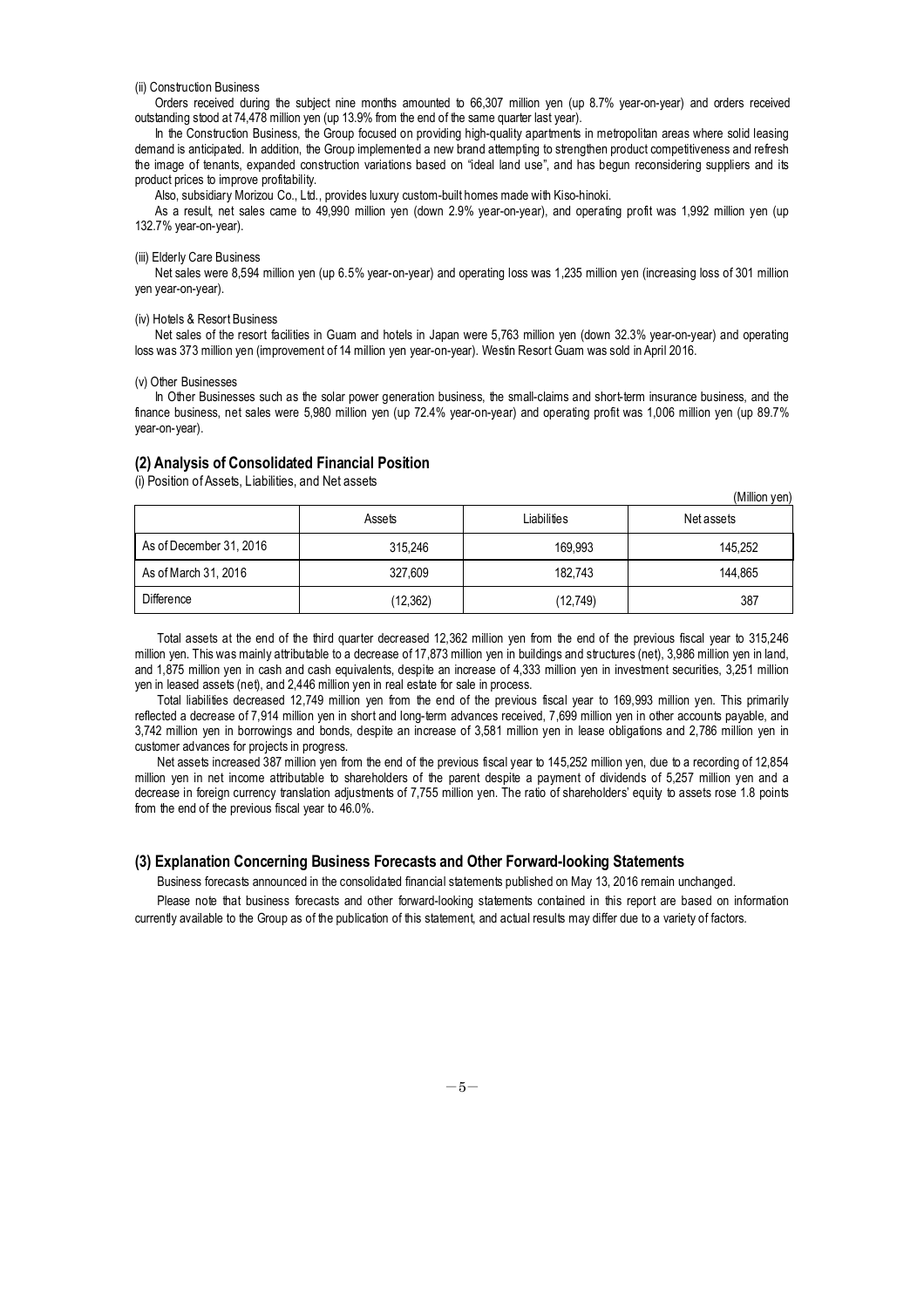#### (ii) Construction Business

Orders received during the subject nine months amounted to 66,307 million yen (up 8.7% year-on-year) and orders received outstanding stood at 74,478 million yen (up 13.9% from the end of the same quarter last year).

In the Construction Business, the Group focused on providing high-quality apartments in metropolitan areas where solid leasing demand is anticipated. In addition, the Group implemented a new brand attempting to strengthen product competitiveness and refresh the image of tenants, expanded construction variations based on "ideal land use", and has begun reconsidering suppliers and its product prices to improve profitability.

Also, subsidiary Morizou Co., Ltd., provides luxury custom-built homes made with Kiso-hinoki.

As a result, net sales came to 49,990 million yen (down 2.9% year-on-year), and operating profit was 1,992 million yen (up 132.7% year-on-year).

#### (iii) Elderly Care Business

Net sales were 8,594 million yen (up 6.5% year-on-year) and operating loss was 1,235 million yen (increasing loss of 301 million yen year-on-year).

#### (iv) Hotels & Resort Business

Net sales of the resort facilities in Guam and hotels in Japan were 5,763 million yen (down 32.3% year-on-year) and operating loss was 373 million yen (improvement of 14 million yen year-on-year). Westin Resort Guam was sold in April 2016.

#### (v) Other Businesses

In Other Businesses such as the solar power generation business, the small-claims and short-term insurance business, and the finance business, net sales were 5,980 million yen (up 72.4% year-on-year) and operating profit was 1,006 million yen (up 89.7% year-on-year).

### **(2) Analysis of Consolidated Financial Position**

(i) Position of Assets, Liabilities, and Net assets

|                         | Assets   | Liabilities | (IVIIIIIUII VEII)<br>Net assets |
|-------------------------|----------|-------------|---------------------------------|
| As of December 31, 2016 | 315.246  | 169.993     | 145,252                         |
| As of March 31, 2016    | 327.609  | 182,743     | 144.865                         |
| Difference              | (12,362) | (12,749)    | 387                             |

 $(M)$ llion  $(on)$ 

Total assets at the end of the third quarter decreased 12,362 million yen from the end of the previous fiscal year to 315,246 million yen. This was mainly attributable to a decrease of 17,873 million yen in buildings and structures (net), 3,986 million yen in land, and 1,875 million yen in cash and cash equivalents, despite an increase of 4,333 million yen in investment securities, 3,251 million yen in leased assets (net), and 2,446 million yen in real estate for sale in process.

Total liabilities decreased 12,749 million yen from the end of the previous fiscal year to 169,993 million yen. This primarily reflected a decrease of 7,914 million yen in short and long-term advances received, 7,699 million yen in other accounts payable, and 3,742 million yen in borrowings and bonds, despite an increase of 3,581 million yen in lease obligations and 2,786 million yen in customer advances for projects in progress.

Net assets increased 387 million yen from the end of the previous fiscal year to 145,252 million yen, due to a recording of 12,854 million yen in net income attributable to shareholders of the parent despite a payment of dividends of 5,257 million yen and a decrease in foreign currency translation adjustments of 7,755 million yen. The ratio of shareholders' equity to assets rose 1.8 points from the end of the previous fiscal year to 46.0%.

### **(3) Explanation Concerning Business Forecasts and Other Forward-looking Statements**

Business forecasts announced in the consolidated financial statements published on May 13, 2016 remain unchanged.

Please note that business forecasts and other forward-looking statements contained in this report are based on information currently available to the Group as of the publication of this statement, and actual results may differ due to a variety of factors.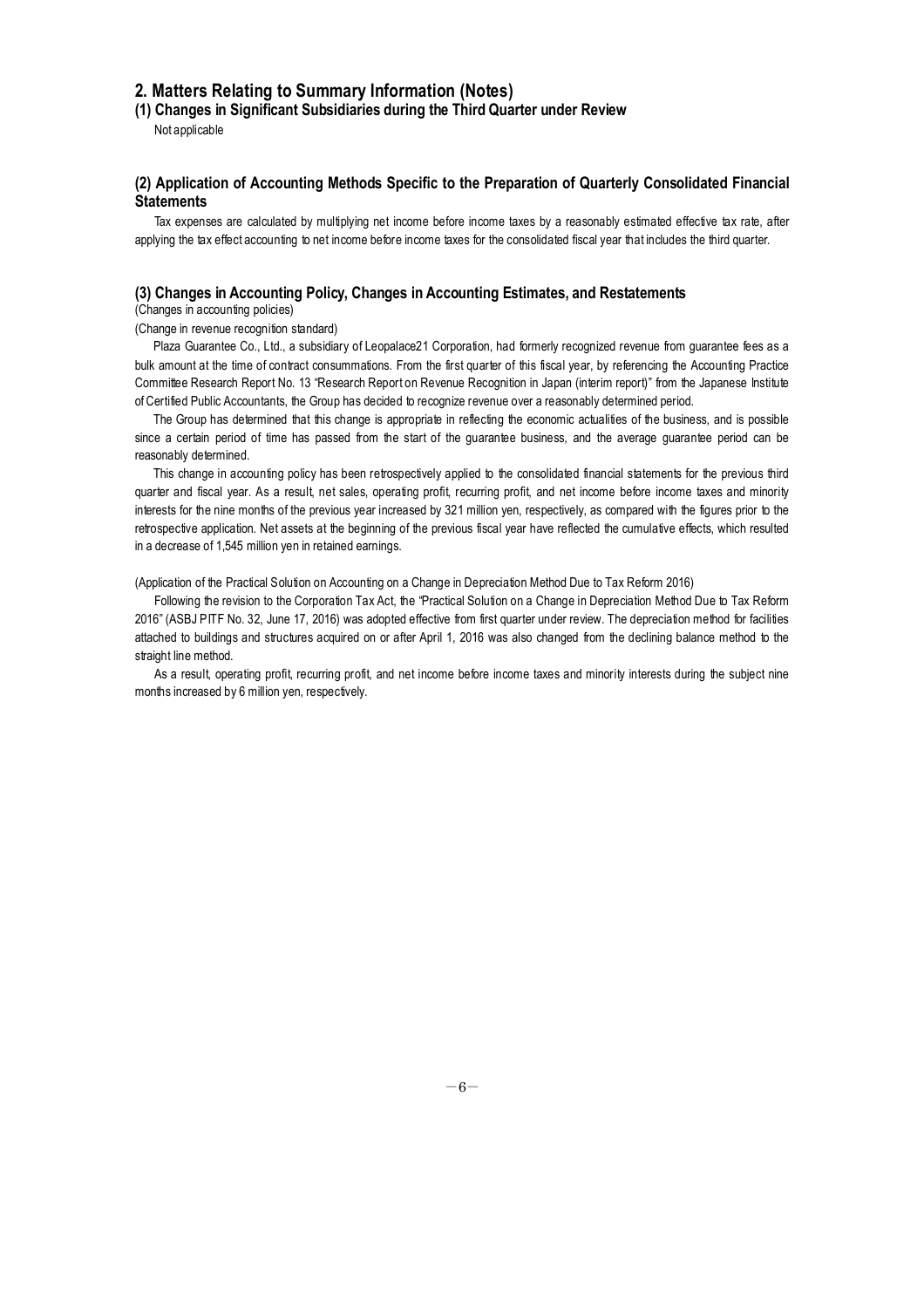### **2. Matters Relating to Summary Information (Notes)**

**(1) Changes in Significant Subsidiaries during the Third Quarter under Review**

Not applicable

### **(2) Application of Accounting Methods Specific to the Preparation of Quarterly Consolidated Financial Statements**

Tax expenses are calculated by multiplying net income before income taxes by a reasonably estimated effective tax rate, after applying the tax effect accounting to net income before income taxes for the consolidated fiscal year that includes the third quarter.

### **(3) Changes in Accounting Policy, Changes in Accounting Estimates, and Restatements**

(Changes in accounting policies)

(Change in revenue recognition standard)

Plaza Guarantee Co., Ltd., a subsidiary of Leopalace21 Corporation, had formerly recognized revenue from guarantee fees as a bulk amount at the time of contract consummations. From the first quarter of this fiscal year, by referencing the Accounting Practice Committee Research Report No. 13 "Research Report on Revenue Recognition in Japan (interim report)" from the Japanese Institute of Certified Public Accountants, the Group has decided to recognize revenue over a reasonably determined period.

The Group has determined that this change is appropriate in reflecting the economic actualities of the business, and is possible since a certain period of time has passed from the start of the guarantee business, and the average guarantee period can be reasonably determined.

This change in accounting policy has been retrospectively applied to the consolidated financial statements for the previous third quarter and fiscal year. As a result, net sales, operating profit, recurring profit, and net income before income taxes and minority interests for the nine months of the previous year increased by 321 million yen, respectively, as compared with the figures prior to the retrospective application. Net assets at the beginning of the previous fiscal year have reflected the cumulative effects, which resulted in a decrease of 1,545 million yen in retained earnings.

(Application of the Practical Solution on Accounting on a Change in Depreciation Method Due to Tax Reform 2016)

Following the revision to the Corporation Tax Act, the "Practical Solution on a Change in Depreciation Method Due to Tax Reform 2016" (ASBJ PITF No. 32, June 17, 2016) was adopted effective from first quarter under review. The depreciation method for facilities attached to buildings and structures acquired on or after April 1, 2016 was also changed from the declining balance method to the straight line method.

As a result, operating profit, recurring profit, and net income before income taxes and minority interests during the subject nine months increased by 6 million yen, respectively.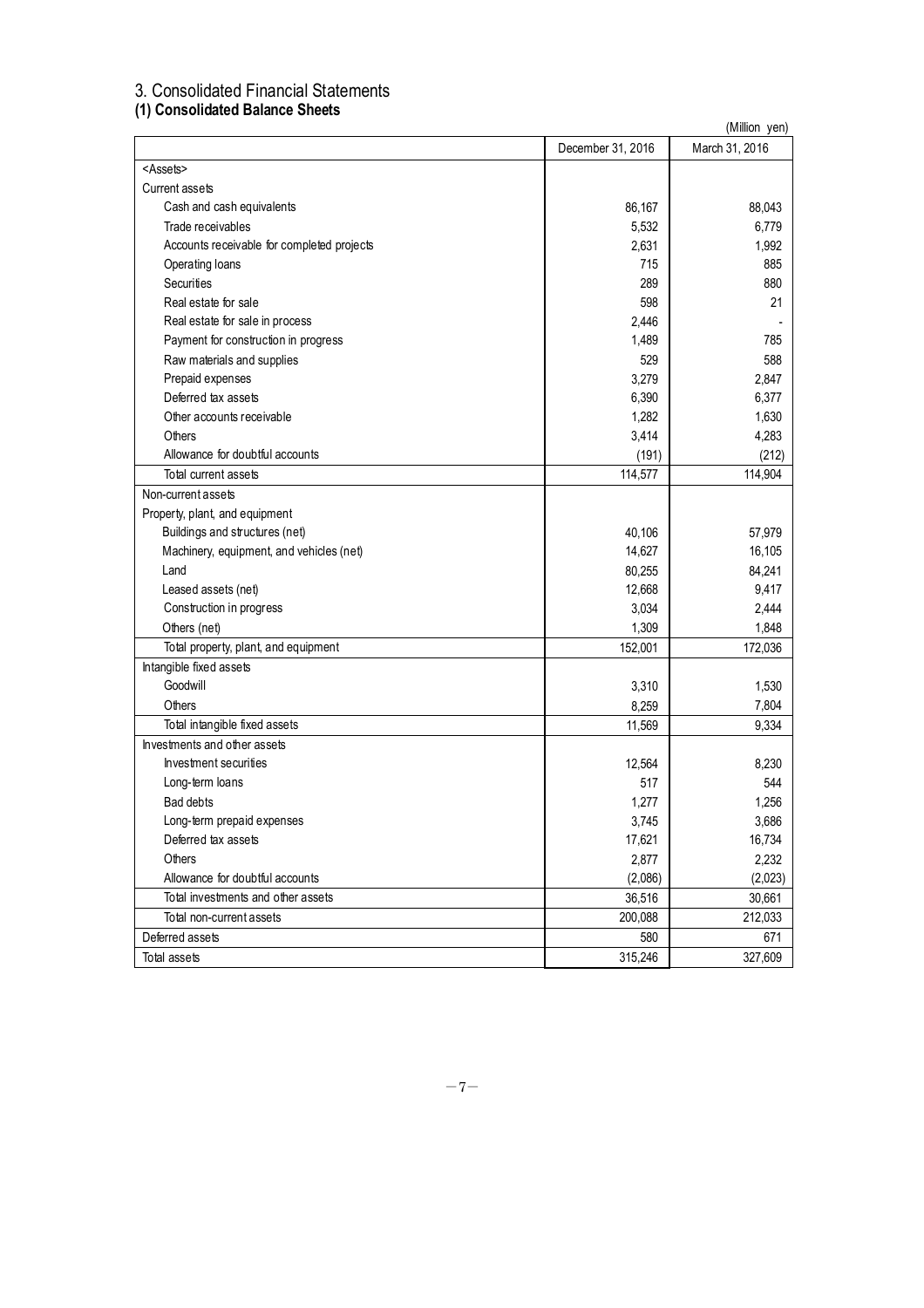# 3. Consolidated Financial Statements

### **(1) Consolidated Balance Sheets**

| <b>III CONSUMATER DAMILE ONCES</b>         | (Million yen)     |                |  |
|--------------------------------------------|-------------------|----------------|--|
|                                            | December 31, 2016 | March 31, 2016 |  |
| <assets></assets>                          |                   |                |  |
| Current assets                             |                   |                |  |
| Cash and cash equivalents                  | 86,167            | 88,043         |  |
| Trade receivables                          | 5,532             | 6,779          |  |
| Accounts receivable for completed projects | 2,631             | 1,992          |  |
| Operating loans                            | 715               | 885            |  |
| Securities                                 | 289               | 880            |  |
| Real estate for sale                       | 598               | 21             |  |
| Real estate for sale in process            | 2,446             |                |  |
| Payment for construction in progress       | 1,489             | 785            |  |
| Raw materials and supplies                 | 529               | 588            |  |
| Prepaid expenses                           | 3,279             | 2,847          |  |
| Deferred tax assets                        | 6,390             | 6,377          |  |
| Other accounts receivable                  | 1,282             | 1,630          |  |
| Others                                     | 3,414             | 4,283          |  |
| Allowance for doubtful accounts            | (191)             | (212)          |  |
| Total current assets                       | 114,577           | 114,904        |  |
| Non-current assets                         |                   |                |  |
| Property, plant, and equipment             |                   |                |  |
| Buildings and structures (net)             | 40,106            | 57,979         |  |
| Machinery, equipment, and vehicles (net)   | 14,627            | 16,105         |  |
| Land                                       | 80,255            | 84,241         |  |
| Leased assets (net)                        | 12,668            | 9,417          |  |
| Construction in progress                   | 3,034             | 2,444          |  |
| Others (net)                               | 1,309             | 1,848          |  |
| Total property, plant, and equipment       | 152,001           | 172,036        |  |
| Intangible fixed assets                    |                   |                |  |
| Goodwill                                   | 3,310             | 1,530          |  |
| Others                                     | 8,259             | 7,804          |  |
| Total intangible fixed assets              | 11,569            | 9,334          |  |
| Investments and other assets               |                   |                |  |
| Investment securities                      | 12,564            | 8,230          |  |
| Long-term loans                            | 517               | 544            |  |
| <b>Bad debts</b>                           | 1,277             | 1,256          |  |
| Long-term prepaid expenses                 | 3,745             | 3,686          |  |
| Deferred tax assets                        | 17,621            | 16,734         |  |
| Others                                     | 2,877             | 2,232          |  |
| Allowance for doubtful accounts            | (2,086)           | (2,023)        |  |
| Total investments and other assets         | 36,516            | 30,661         |  |
| Total non-current assets                   | 200,088           | 212,033        |  |
| Deferred assets                            | 580               | 671            |  |
| Total assets                               | 315,246           | 327,609        |  |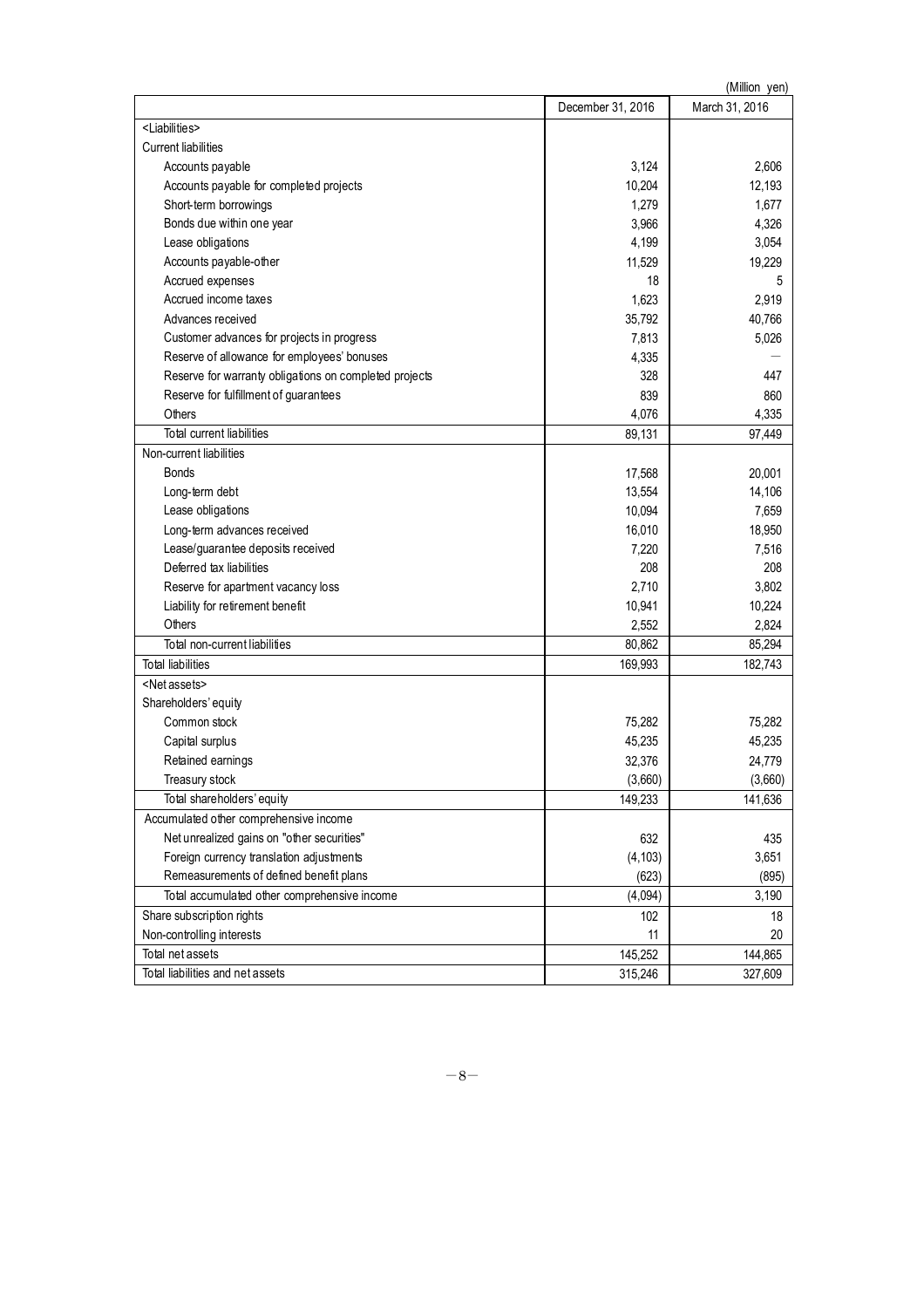| (Million yen)                                          |                   |                |  |  |
|--------------------------------------------------------|-------------------|----------------|--|--|
|                                                        | December 31, 2016 | March 31, 2016 |  |  |
| <liabilities></liabilities>                            |                   |                |  |  |
| <b>Current liabilities</b>                             |                   |                |  |  |
| Accounts payable                                       | 3,124             | 2,606          |  |  |
| Accounts payable for completed projects                | 10,204            | 12,193         |  |  |
| Short-term borrowings                                  | 1,279             | 1,677          |  |  |
| Bonds due within one year                              | 3,966             | 4,326          |  |  |
| Lease obligations                                      | 4,199             | 3,054          |  |  |
| Accounts payable-other                                 | 11,529            | 19,229         |  |  |
| Accrued expenses                                       | 18                | 5              |  |  |
| Accrued income taxes                                   | 1,623             | 2,919          |  |  |
| Advances received                                      | 35,792            | 40,766         |  |  |
| Customer advances for projects in progress             | 7,813             | 5,026          |  |  |
| Reserve of allowance for employees' bonuses            | 4,335             |                |  |  |
| Reserve for warranty obligations on completed projects | 328               | 447            |  |  |
| Reserve for fulfillment of guarantees                  | 839               | 860            |  |  |
| Others                                                 | 4,076             | 4,335          |  |  |
| Total current liabilities                              | 89,131            | 97,449         |  |  |
| Non-current liabilities                                |                   |                |  |  |
| <b>Bonds</b>                                           | 17,568            | 20,001         |  |  |
| Long-term debt                                         | 13,554            | 14,106         |  |  |
| Lease obligations                                      | 10,094            | 7,659          |  |  |
| Long-term advances received                            | 16,010            | 18,950         |  |  |
| Lease/guarantee deposits received                      | 7,220             | 7,516          |  |  |
| Deferred tax liabilities                               | 208               | 208            |  |  |
| Reserve for apartment vacancy loss                     | 2,710             | 3,802          |  |  |
| Liability for retirement benefit                       | 10,941            | 10,224         |  |  |
| Others                                                 | 2,552             | 2,824          |  |  |
| Total non-current liabilities                          | 80,862            | 85,294         |  |  |
| <b>Total liabilities</b>                               | 169,993           | 182,743        |  |  |
| <net assets=""></net>                                  |                   |                |  |  |
| Shareholders' equity                                   |                   |                |  |  |
| Common stock                                           | 75,282            | 75,282         |  |  |
| Capital surplus                                        | 45,235            | 45,235         |  |  |
| Retained earnings                                      | 32,376            | 24,779         |  |  |
| Treasury stock                                         | (3,660)           | (3,660)        |  |  |
| Total shareholders' equity                             | 149,233           | 141,636        |  |  |
| Accumulated other comprehensive income                 |                   |                |  |  |
| Net unrealized gains on "other securities"             | 632               | 435            |  |  |
| Foreign currency translation adjustments               | (4, 103)          | 3,651          |  |  |
| Remeasurements of defined benefit plans                | (623)             | (895)          |  |  |
|                                                        |                   |                |  |  |
| Total accumulated other comprehensive income           | (4,094)           | 3,190          |  |  |
| Share subscription rights                              | 102               | 18             |  |  |
| Non-controlling interests                              | 11                | 20             |  |  |
| Total net assets                                       | 145,252           | 144,865        |  |  |
| Total liabilities and net assets                       | 315,246           | 327,609        |  |  |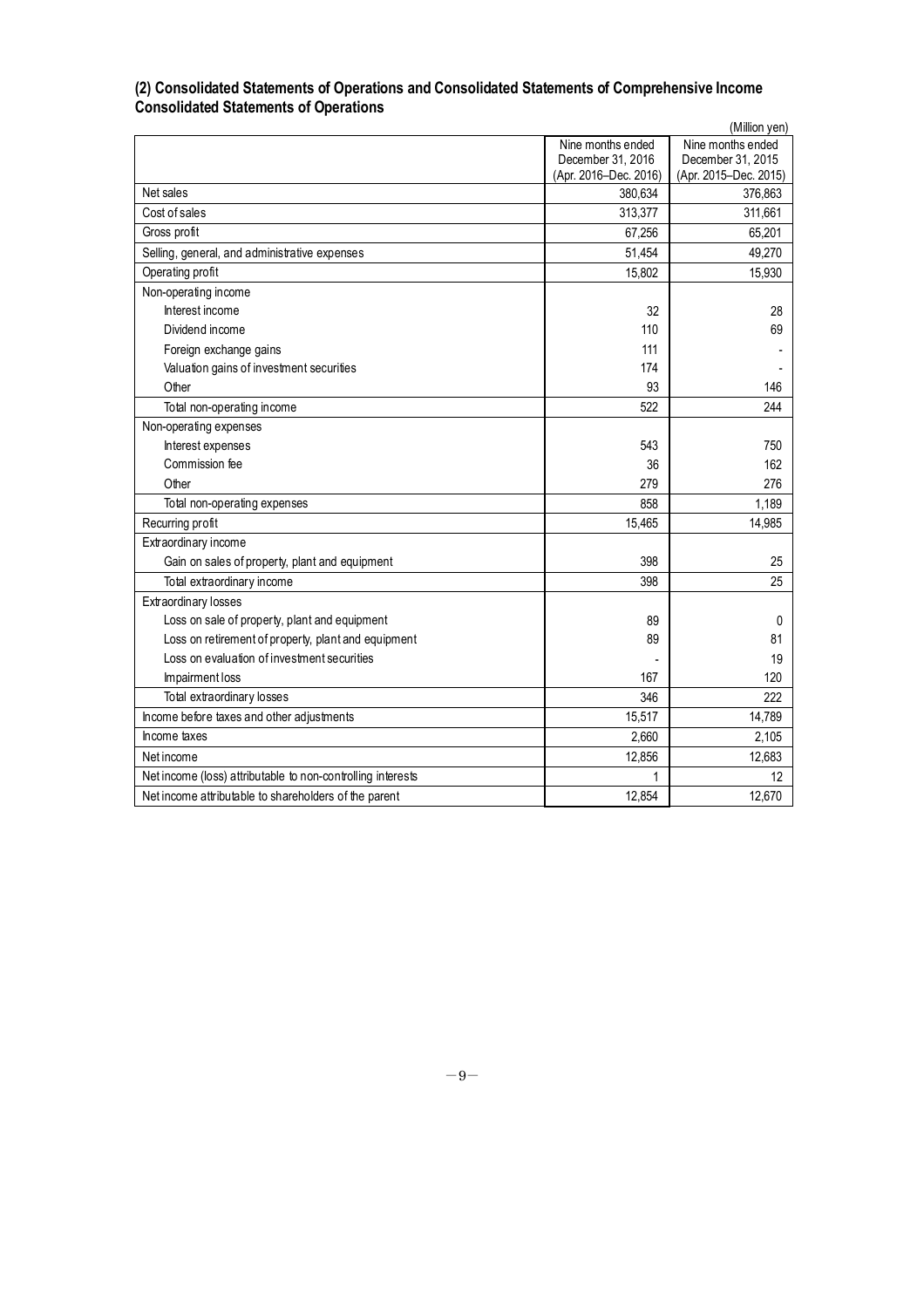## **(2) Consolidated Statements of Operations and Consolidated Statements of Comprehensive Income Consolidated Statements of Operations**

|                                                             |                       | (Million yen)         |
|-------------------------------------------------------------|-----------------------|-----------------------|
|                                                             | Nine months ended     | Nine months ended     |
|                                                             | December 31, 2016     | December 31, 2015     |
|                                                             | (Apr. 2016-Dec. 2016) | (Apr. 2015-Dec. 2015) |
| Net sales                                                   | 380,634               | 376,863               |
| Cost of sales                                               | 313,377               | 311,661               |
| Gross profit                                                | 67,256                | 65,201                |
| Selling, general, and administrative expenses               | 51,454                | 49,270                |
| Operating profit                                            | 15,802                | 15,930                |
| Non-operating income                                        |                       |                       |
| Interest income                                             | 32                    | 28                    |
| Dividend income                                             | 110                   | 69                    |
| Foreign exchange gains                                      | 111                   |                       |
| Valuation gains of investment securities                    | 174                   |                       |
| Other                                                       | 93                    | 146                   |
| Total non-operating income                                  | 522                   | 244                   |
| Non-operating expenses                                      |                       |                       |
| Interest expenses                                           | 543                   | 750                   |
| Commission fee                                              | 36                    | 162                   |
| Other                                                       | 279                   | 276                   |
| Total non-operating expenses                                | 858                   | 1,189                 |
| Recurring profit                                            | 15,465                | 14,985                |
| Extraordinary income                                        |                       |                       |
| Gain on sales of property, plant and equipment              | 398                   | 25                    |
| Total extraordinary income                                  | 398                   | 25                    |
| Extraordinary losses                                        |                       |                       |
| Loss on sale of property, plant and equipment               | 89                    | 0                     |
| Loss on retirement of property, plant and equipment         | 89                    | 81                    |
| Loss on evaluation of investment securities                 |                       | 19                    |
| Impairment loss                                             | 167                   | 120                   |
| Total extraordinary losses                                  | 346                   | 222                   |
| Income before taxes and other adjustments                   | 15,517                | 14,789                |
| Income taxes                                                | 2,660                 | 2,105                 |
| Net income                                                  | 12,856                | 12,683                |
| Net income (loss) attributable to non-controlling interests | 1                     | 12                    |
| Net income attributable to shareholders of the parent       | 12,854                | 12,670                |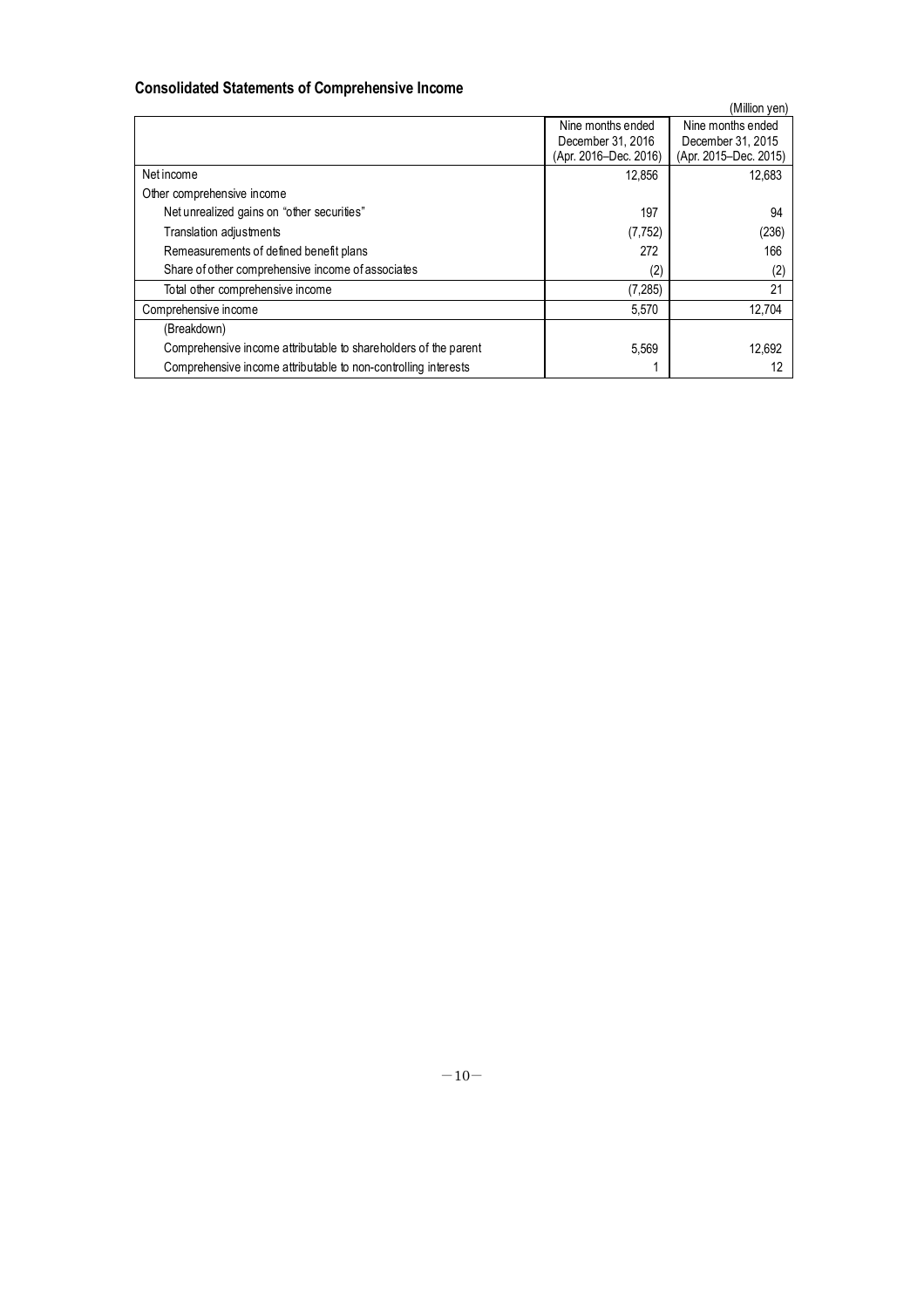# **Consolidated Statements of Comprehensive Income**

|                                                                 |                       | (Million yen)         |
|-----------------------------------------------------------------|-----------------------|-----------------------|
|                                                                 | Nine months ended     | Nine months ended     |
|                                                                 | December 31, 2016     | December 31, 2015     |
|                                                                 | (Apr. 2016–Dec. 2016) | (Apr. 2015–Dec. 2015) |
| Net income                                                      | 12,856                | 12.683                |
| Other comprehensive income                                      |                       |                       |
| Net unrealized gains on "other securities"                      | 197                   | 94                    |
| Translation adjustments                                         | (7, 752)              | (236)                 |
| Remeasurements of defined benefit plans                         | 272                   | 166                   |
| Share of other comprehensive income of associates               | (2)                   | (2)                   |
| Total other comprehensive income                                | (7, 285)              | 21                    |
| Comprehensive income                                            | 5,570                 | 12,704                |
| (Breakdown)                                                     |                       |                       |
| Comprehensive income attributable to shareholders of the parent | 5,569                 | 12.692                |
| Comprehensive income attributable to non-controlling interests  |                       |                       |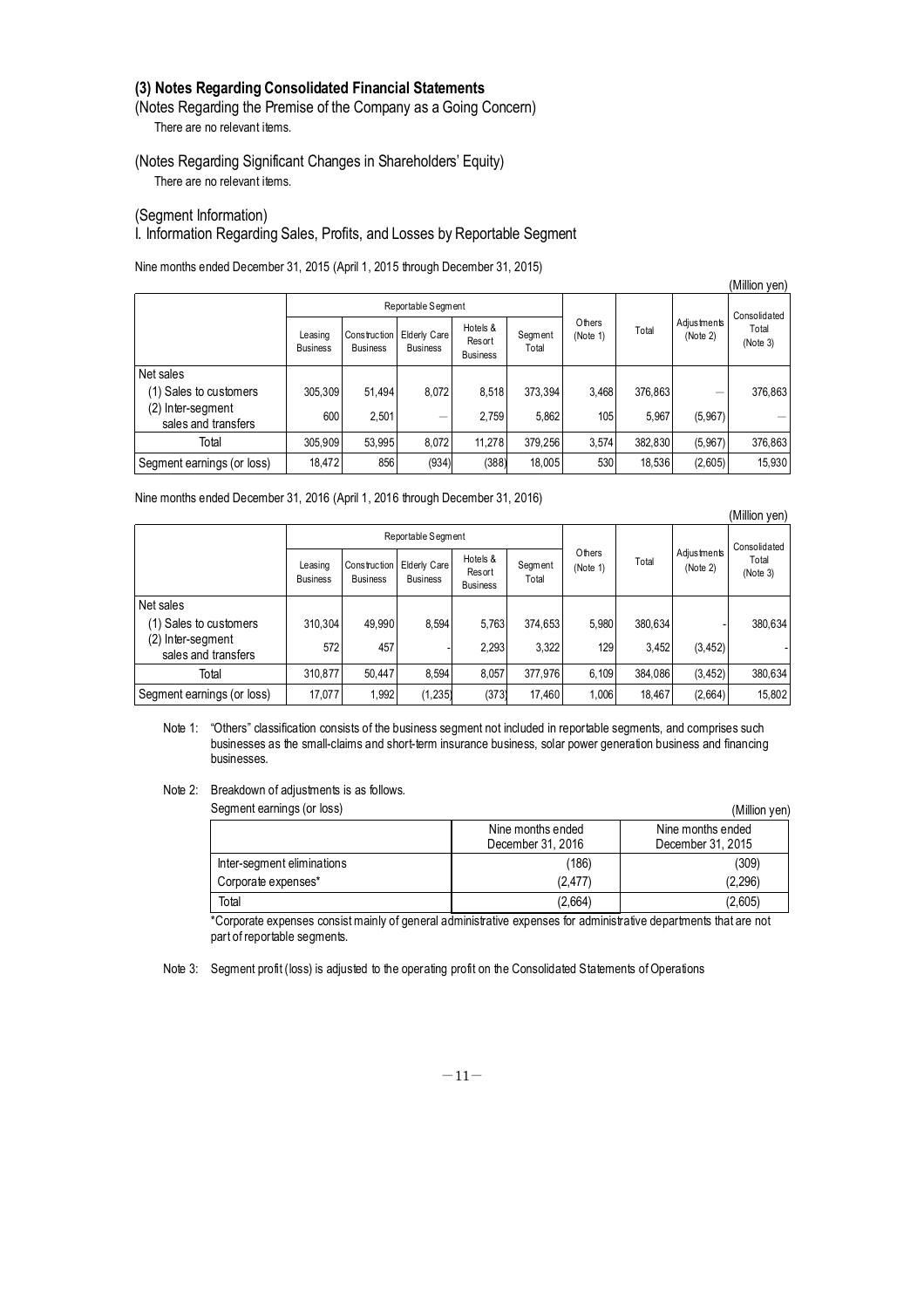# **(3) Notes Regarding Consolidated Financial Statements**

(Notes Regarding the Premise of the Company as a Going Concern) There are no relevant items.

(Notes Regarding Significant Changes in Shareholders' Equity) There are no relevant items.

(Segment Information)

# I. Information Regarding Sales, Profits, and Losses by Reportable Segment

Nine months ended December 31, 2015 (April 1, 2015 through December 31, 2015)

|                                          |                            |                                 |                                 |                                       |                  |                    |         |                         | (Million yen)     |
|------------------------------------------|----------------------------|---------------------------------|---------------------------------|---------------------------------------|------------------|--------------------|---------|-------------------------|-------------------|
|                                          |                            |                                 | Reportable Segment              |                                       |                  |                    |         |                         | Consolidated      |
|                                          | Leasing<br><b>Business</b> | Construction<br><b>Business</b> | Elderly Care<br><b>Business</b> | Hotels &<br>Resort<br><b>Business</b> | Segment<br>Total | Others<br>(Note 1) | Total   | Adiustments<br>(Note 2) | Total<br>(Note 3) |
| Net sales                                |                            |                                 |                                 |                                       |                  |                    |         |                         |                   |
| (1) Sales to customers                   | 305,309                    | 51,494                          | 8,072                           | 8,518                                 | 373,394          | 3,468              | 376,863 |                         | 376,863           |
| (2) Inter-segment<br>sales and transfers | 600                        | 2.501                           | –                               | 2.759                                 | 5.862            | 105                | 5.967   | (5,967)                 |                   |
| Total                                    | 305.909                    | 53.995                          | 8.072                           | 11.278                                | 379.256          | 3,574              | 382,830 | (5,967)                 | 376,863           |
| Segment earnings (or loss)               | 18,472                     | 856                             | (934)                           | (388)                                 | 18,005           | 530                | 18,536  | (2,605)                 | 15,930            |

Nine months ended December 31, 2016 (April 1, 2016 through December 31, 2016)

|                                          |                            |                                 |                                        |                                              |                  |                    | IVIIIIOII VEITI |                                |                   |
|------------------------------------------|----------------------------|---------------------------------|----------------------------------------|----------------------------------------------|------------------|--------------------|-----------------|--------------------------------|-------------------|
|                                          |                            |                                 | Reportable Segment                     |                                              |                  |                    | Total           | <b>Adjustments</b><br>(Note 2) | Consolidated      |
|                                          | Leasing<br><b>Business</b> | Construction<br><b>Business</b> | <b>Elderly Care</b><br><b>Business</b> | Hotels &<br><b>Resort</b><br><b>Business</b> | Segment<br>Total | Others<br>(Note 1) |                 |                                | Total<br>(Note 3) |
| Net sales                                |                            |                                 |                                        |                                              |                  |                    |                 |                                |                   |
| (1) Sales to customers                   | 310,304                    | 49.990                          | 8,594                                  | 5,763                                        | 374,653          | 5,980              | 380,634         |                                | 380,634           |
| (2) Inter-segment<br>sales and transfers | 572                        | 457                             |                                        | 2,293                                        | 3.322            | 129                | 3.452           | (3, 452)                       |                   |
| Total                                    | 310,877                    | 50.447                          | 8.594                                  | 8.057                                        | 377,976          | 6.109              | 384,086         | (3, 452)                       | 380,634           |
| Segment earnings (or loss)               | 17,077                     | 1,992                           | (1, 235)                               | (373)                                        | 17,460           | 1,006              | 18,467          | (2,664)                        | 15,802            |

 $(M)$ llion  $(on)$ 

Note 1: "Others" classification consists of the business segment not included in reportable segments, and comprises such businesses as the small-claims and short-term insurance business, solar power generation business and financing businesses.

Note 2: Breakdown of adjustments is as follows.

| Segment earnings (or loss)<br>(Million yen) |                   |                   |  |  |  |
|---------------------------------------------|-------------------|-------------------|--|--|--|
|                                             | Nine months ended | Nine months ended |  |  |  |
|                                             | December 31, 2016 | December 31, 2015 |  |  |  |
| Inter-segment eliminations                  | (186)             | (309)             |  |  |  |
| Corporate expenses*                         | (2,477)           | (2,296)           |  |  |  |
| Total                                       | (2,664)           | (2,605)           |  |  |  |

\*Corporate expenses consist mainly of general administrative expenses for administrative departments that are not part of reportable segments.

Note 3: Segment profit (loss) is adjusted to the operating profit on the Consolidated Statements of Operations